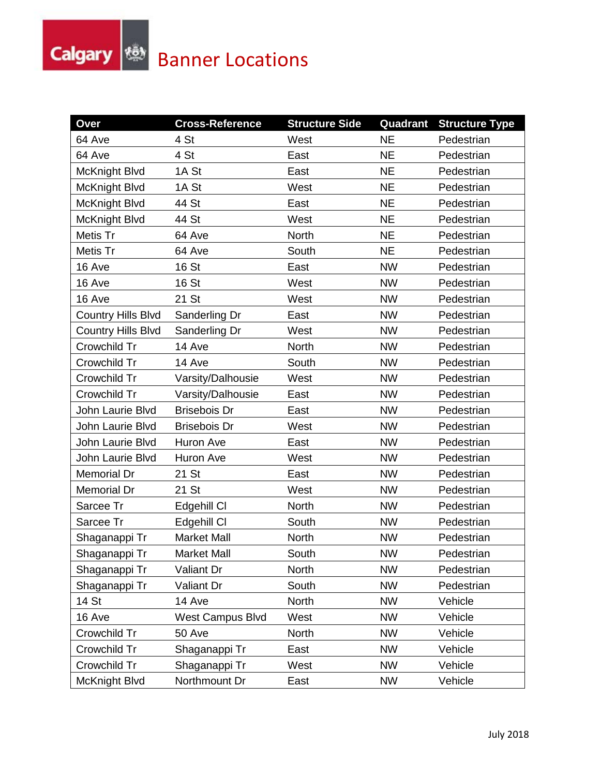## **Calgary Englishing Banner Locations**

| Over                      | <b>Cross-Reference</b>  | <b>Structure Side</b> |           | <b>Quadrant Structure Type</b> |
|---------------------------|-------------------------|-----------------------|-----------|--------------------------------|
| 64 Ave                    | 4 St                    | West                  | <b>NE</b> | Pedestrian                     |
| 64 Ave                    | 4 St                    | East                  | <b>NE</b> | Pedestrian                     |
| McKnight Blvd             | 1A St                   | East                  | <b>NE</b> | Pedestrian                     |
| McKnight Blvd             | 1A St                   | West                  | <b>NE</b> | Pedestrian                     |
| McKnight Blvd             | 44 St                   | East                  | <b>NE</b> | Pedestrian                     |
| McKnight Blvd             | 44 St                   | West                  | <b>NE</b> | Pedestrian                     |
| Metis Tr                  | 64 Ave                  | <b>North</b>          | <b>NE</b> | Pedestrian                     |
| Metis Tr                  | 64 Ave                  | South                 | <b>NE</b> | Pedestrian                     |
| 16 Ave                    | 16 St                   | East                  | <b>NW</b> | Pedestrian                     |
| 16 Ave                    | 16 St                   | West                  | <b>NW</b> | Pedestrian                     |
| 16 Ave                    | 21 St                   | West                  | <b>NW</b> | Pedestrian                     |
| <b>Country Hills Blvd</b> | Sanderling Dr           | East                  | <b>NW</b> | Pedestrian                     |
| <b>Country Hills Blvd</b> | Sanderling Dr           | West                  | <b>NW</b> | Pedestrian                     |
| Crowchild Tr              | 14 Ave                  | <b>North</b>          | <b>NW</b> | Pedestrian                     |
| Crowchild Tr              | 14 Ave                  | South                 | <b>NW</b> | Pedestrian                     |
| Crowchild Tr              | Varsity/Dalhousie       | West                  | <b>NW</b> | Pedestrian                     |
| Crowchild Tr              | Varsity/Dalhousie       | East                  | <b>NW</b> | Pedestrian                     |
| John Laurie Blvd          | <b>Brisebois Dr</b>     | East                  | <b>NW</b> | Pedestrian                     |
| John Laurie Blvd          | <b>Brisebois Dr</b>     | West                  | <b>NW</b> | Pedestrian                     |
| John Laurie Blvd          | Huron Ave               | East                  | <b>NW</b> | Pedestrian                     |
| John Laurie Blvd          | Huron Ave               | West                  | <b>NW</b> | Pedestrian                     |
| <b>Memorial Dr</b>        | 21 St                   | East                  | <b>NW</b> | Pedestrian                     |
| Memorial Dr               | 21 St                   | West                  | <b>NW</b> | Pedestrian                     |
| Sarcee Tr                 | Edgehill CI             | <b>North</b>          | <b>NW</b> | Pedestrian                     |
| Sarcee Tr                 | Edgehill CI             | South                 | <b>NW</b> | Pedestrian                     |
| Shaganappi Tr             | <b>Market Mall</b>      | North                 | <b>NW</b> | Pedestrian                     |
| Shaganappi Tr             | Market Mall             | South                 | <b>NW</b> | Pedestrian                     |
| Shaganappi Tr             | Valiant Dr              | North                 | <b>NW</b> | Pedestrian                     |
| Shaganappi Tr             | Valiant Dr              | South                 | <b>NW</b> | Pedestrian                     |
| 14 St                     | 14 Ave                  | North                 | <b>NW</b> | Vehicle                        |
| 16 Ave                    | <b>West Campus Blvd</b> | West                  | <b>NW</b> | Vehicle                        |
| Crowchild Tr              | 50 Ave                  | North                 | <b>NW</b> | Vehicle                        |
| Crowchild Tr              | Shaganappi Tr           | East                  | <b>NW</b> | Vehicle                        |
| Crowchild Tr              | Shaganappi Tr           | West                  | <b>NW</b> | Vehicle                        |
| McKnight Blvd             | Northmount Dr           | East                  | <b>NW</b> | Vehicle                        |